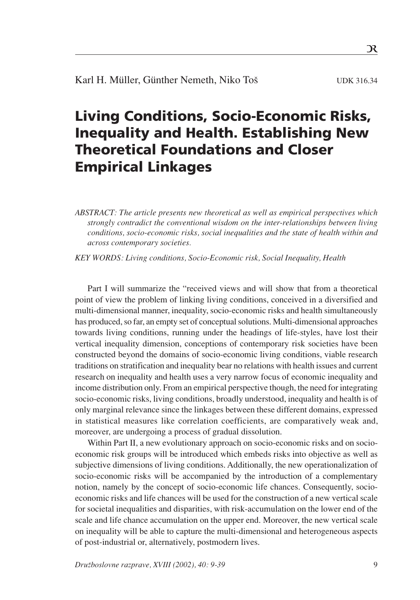# Living Conditions, Socio-Economic Risks, Inequality and Health. Establishing New Theoretical Foundations and Closer Empirical Linkages

*ABSTRACT: The article presents new theoretical as well as empirical perspectives which strongly contradict the conventional wisdom on the inter-relationships between living conditions, socio-economic risks, social inequalities and the state of health within and across contemporary societies.*

*KEY WORDS: Living conditions, Socio-Economic risk, Social Inequality, Health*

Part I will summarize the "received views and will show that from a theoretical point of view the problem of linking living conditions, conceived in a diversified and multi-dimensional manner, inequality, socio-economic risks and health simultaneously has produced, so far, an empty set of conceptual solutions. Multi-dimensional approaches towards living conditions, running under the headings of life-styles, have lost their vertical inequality dimension, conceptions of contemporary risk societies have been constructed beyond the domains of socio-economic living conditions, viable research traditions on stratification and inequality bear no relations with health issues and current research on inequality and health uses a very narrow focus of economic inequality and income distribution only. From an empirical perspective though, the need for integrating socio-economic risks, living conditions, broadly understood, inequality and health is of only marginal relevance since the linkages between these different domains, expressed in statistical measures like correlation coefficients, are comparatively weak and, moreover, are undergoing a process of gradual dissolution.

Within Part II, a new evolutionary approach on socio-economic risks and on socioeconomic risk groups will be introduced which embeds risks into objective as well as subjective dimensions of living conditions. Additionally, the new operationalization of socio-economic risks will be accompanied by the introduction of a complementary notion, namely by the concept of socio-economic life chances. Consequently, socioeconomic risks and life chances will be used for the construction of a new vertical scale for societal inequalities and disparities, with risk-accumulation on the lower end of the scale and life chance accumulation on the upper end. Moreover, the new vertical scale on inequality will be able to capture the multi-dimensional and heterogeneous aspects of post-industrial or, alternatively, postmodern lives.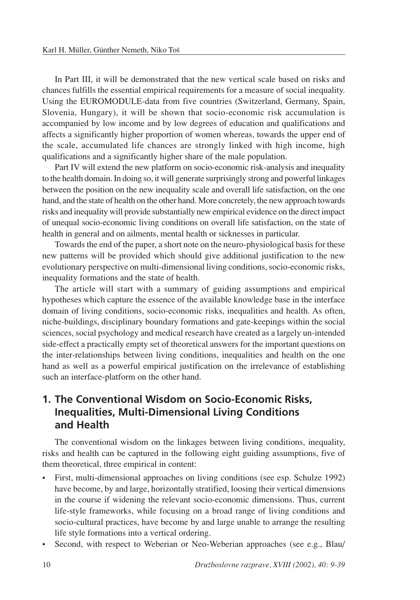In Part III, it will be demonstrated that the new vertical scale based on risks and chances fulfills the essential empirical requirements for a measure of social inequality. Using the EUROMODULE-data from five countries (Switzerland, Germany, Spain, Slovenia, Hungary), it will be shown that socio-economic risk accumulation is accompanied by low income and by low degrees of education and qualifications and affects a significantly higher proportion of women whereas, towards the upper end of the scale, accumulated life chances are strongly linked with high income, high qualifications and a significantly higher share of the male population.

Part IV will extend the new platform on socio-economic risk-analysis and inequality to the health domain. In doing so, it will generate surprisingly strong and powerful linkages between the position on the new inequality scale and overall life satisfaction, on the one hand, and the state of health on the other hand. More concretely, the new approach towards risks and inequality will provide substantially new empirical evidence on the direct impact of unequal socio-economic living conditions on overall life satisfaction, on the state of health in general and on ailments, mental health or sicknesses in particular.

Towards the end of the paper, a short note on the neuro-physiological basis for these new patterns will be provided which should give additional justification to the new evolutionary perspective on multi-dimensional living conditions, socio-economic risks, inequality formations and the state of health.

The article will start with a summary of guiding assumptions and empirical hypotheses which capture the essence of the available knowledge base in the interface domain of living conditions, socio-economic risks, inequalities and health. As often, niche-buildings, disciplinary boundary formations and gate-keepings within the social sciences, social psychology and medical research have created as a largely un-intended side-effect a practically empty set of theoretical answers for the important questions on the inter-relationships between living conditions, inequalities and health on the one hand as well as a powerful empirical justification on the irrelevance of establishing such an interface-platform on the other hand.

# **1. The Conventional Wisdom on Socio-Economic Risks, Inequalities, Multi-Dimensional Living Conditions and Health**

The conventional wisdom on the linkages between living conditions, inequality, risks and health can be captured in the following eight guiding assumptions, five of them theoretical, three empirical in content:

- First, multi-dimensional approaches on living conditions (see esp. Schulze 1992) have become, by and large, horizontally stratified, loosing their vertical dimensions in the course if widening the relevant socio-economic dimensions. Thus, current life-style frameworks, while focusing on a broad range of living conditions and socio-cultural practices, have become by and large unable to arrange the resulting life style formations into a vertical ordering.
- Second, with respect to Weberian or Neo-Weberian approaches (see e.g., Blau/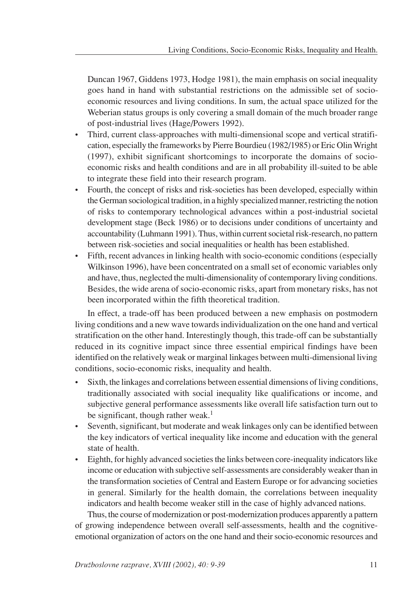Duncan 1967, Giddens 1973, Hodge 1981), the main emphasis on social inequality goes hand in hand with substantial restrictions on the admissible set of socioeconomic resources and living conditions. In sum, the actual space utilized for the Weberian status groups is only covering a small domain of the much broader range of post-industrial lives (Hage/Powers 1992).

- Third, current class-approaches with multi-dimensional scope and vertical stratification, especially the frameworks by Pierre Bourdieu (1982/1985) or Eric Olin Wright (1997), exhibit significant shortcomings to incorporate the domains of socioeconomic risks and health conditions and are in all probability ill-suited to be able to integrate these field into their research program.
- Fourth, the concept of risks and risk-societies has been developed, especially within the German sociological tradition, in a highly specialized manner, restricting the notion of risks to contemporary technological advances within a post-industrial societal development stage (Beck 1986) or to decisions under conditions of uncertainty and accountability (Luhmann 1991). Thus, within current societal risk-research, no pattern between risk-societies and social inequalities or health has been established.
- Fifth, recent advances in linking health with socio-economic conditions (especially Wilkinson 1996), have been concentrated on a small set of economic variables only and have, thus, neglected the multi-dimensionality of contemporary living conditions. Besides, the wide arena of socio-economic risks, apart from monetary risks, has not been incorporated within the fifth theoretical tradition.

In effect, a trade-off has been produced between a new emphasis on postmodern living conditions and a new wave towards individualization on the one hand and vertical stratification on the other hand. Interestingly though, this trade-off can be substantially reduced in its cognitive impact since three essential empirical findings have been identified on the relatively weak or marginal linkages between multi-dimensional living conditions, socio-economic risks, inequality and health.

- Sixth, the linkages and correlations between essential dimensions of living conditions, traditionally associated with social inequality like qualifications or income, and subjective general performance assessments like overall life satisfaction turn out to be significant, though rather weak.<sup>1</sup>
- Seventh, significant, but moderate and weak linkages only can be identified between the key indicators of vertical inequality like income and education with the general state of health.
- Eighth, for highly advanced societies the links between core-inequality indicators like income or education with subjective self-assessments are considerably weaker than in the transformation societies of Central and Eastern Europe or for advancing societies in general. Similarly for the health domain, the correlations between inequality indicators and health become weaker still in the case of highly advanced nations.

Thus, the course of modernization or post-modernization produces apparently a pattern of growing independence between overall self-assessments, health and the cognitiveemotional organization of actors on the one hand and their socio-economic resources and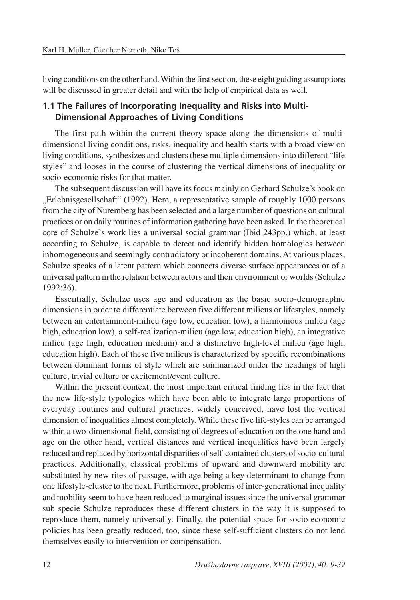living conditions on the other hand. Within the first section, these eight guiding assumptions will be discussed in greater detail and with the help of empirical data as well.

## **1.1 The Failures of Incorporating Inequality and Risks into Multi-Dimensional Approaches of Living Conditions**

The first path within the current theory space along the dimensions of multidimensional living conditions, risks, inequality and health starts with a broad view on living conditions, synthesizes and clusters these multiple dimensions into different "life styles" and looses in the course of clustering the vertical dimensions of inequality or socio-economic risks for that matter.

The subsequent discussion will have its focus mainly on Gerhard Schulze's book on "Erlebnisgesellschaft" (1992). Here, a representative sample of roughly 1000 persons from the city of Nuremberg has been selected and a large number of questions on cultural practices or on daily routines of information gathering have been asked. In the theoretical core of Schulze`s work lies a universal social grammar (Ibid 243pp.) which, at least according to Schulze, is capable to detect and identify hidden homologies between inhomogeneous and seemingly contradictory or incoherent domains. At various places, Schulze speaks of a latent pattern which connects diverse surface appearances or of a universal pattern in the relation between actors and their environment or worlds (Schulze 1992:36).

Essentially, Schulze uses age and education as the basic socio-demographic dimensions in order to differentiate between five different milieus or lifestyles, namely between an entertainment-milieu (age low, education low), a harmonious milieu (age high, education low), a self-realization-milieu (age low, education high), an integrative milieu (age high, education medium) and a distinctive high-level milieu (age high, education high). Each of these five milieus is characterized by specific recombinations between dominant forms of style which are summarized under the headings of high culture, trivial culture or excitement/event culture.

Within the present context, the most important critical finding lies in the fact that the new life-style typologies which have been able to integrate large proportions of everyday routines and cultural practices, widely conceived, have lost the vertical dimension of inequalities almost completely. While these five life-styles can be arranged within a two-dimensional field, consisting of degrees of education on the one hand and age on the other hand, vertical distances and vertical inequalities have been largely reduced and replaced by horizontal disparities of self-contained clusters of socio-cultural practices. Additionally, classical problems of upward and downward mobility are substituted by new rites of passage, with age being a key determinant to change from one lifestyle-cluster to the next. Furthermore, problems of inter-generational inequality and mobility seem to have been reduced to marginal issues since the universal grammar sub specie Schulze reproduces these different clusters in the way it is supposed to reproduce them, namely universally. Finally, the potential space for socio-economic policies has been greatly reduced, too, since these self-sufficient clusters do not lend themselves easily to intervention or compensation.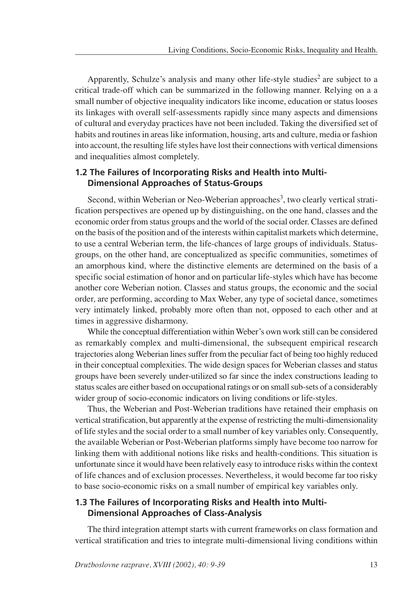Apparently, Schulze's analysis and many other life-style studies<sup>2</sup> are subject to a critical trade-off which can be summarized in the following manner. Relying on a a small number of objective inequality indicators like income, education or status looses its linkages with overall self-assessments rapidly since many aspects and dimensions of cultural and everyday practices have not been included. Taking the diversified set of habits and routines in areas like information, housing, arts and culture, media or fashion into account, the resulting life styles have lost their connections with vertical dimensions and inequalities almost completely.

### **1.2 The Failures of Incorporating Risks and Health into Multi-Dimensional Approaches of Status-Groups**

Second, within Weberian or Neo-Weberian approaches<sup>3</sup>, two clearly vertical stratification perspectives are opened up by distinguishing, on the one hand, classes and the economic order from status groups and the world of the social order. Classes are defined on the basis of the position and of the interests within capitalist markets which determine, to use a central Weberian term, the life-chances of large groups of individuals. Statusgroups, on the other hand, are conceptualized as specific communities, sometimes of an amorphous kind, where the distinctive elements are determined on the basis of a specific social estimation of honor and on particular life-styles which have has become another core Weberian notion. Classes and status groups, the economic and the social order, are performing, according to Max Weber, any type of societal dance, sometimes very intimately linked, probably more often than not, opposed to each other and at times in aggressive disharmony.

While the conceptual differentiation within Weber's own work still can be considered as remarkably complex and multi-dimensional, the subsequent empirical research trajectories along Weberian lines suffer from the peculiar fact of being too highly reduced in their conceptual complexities. The wide design spaces for Weberian classes and status groups have been severely under-utilized so far since the index constructions leading to status scales are either based on occupational ratings or on small sub-sets of a considerably wider group of socio-economic indicators on living conditions or life-styles.

Thus, the Weberian and Post-Weberian traditions have retained their emphasis on vertical stratification, but apparently at the expense of restricting the multi-dimensionality of life styles and the social order to a small number of key variables only. Consequently, the available Weberian or Post-Weberian platforms simply have become too narrow for linking them with additional notions like risks and health-conditions. This situation is unfortunate since it would have been relatively easy to introduce risks within the context of life chances and of exclusion processes. Nevertheless, it would become far too risky to base socio-economic risks on a small number of empirical key variables only.

### **1.3 The Failures of Incorporating Risks and Health into Multi-Dimensional Approaches of Class-Analysis**

The third integration attempt starts with current frameworks on class formation and vertical stratification and tries to integrate multi-dimensional living conditions within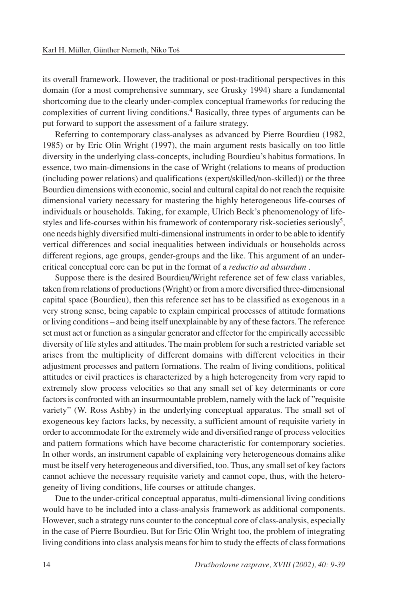its overall framework. However, the traditional or post-traditional perspectives in this domain (for a most comprehensive summary, see Grusky 1994) share a fundamental shortcoming due to the clearly under-complex conceptual frameworks for reducing the complexities of current living conditions.4 Basically, three types of arguments can be put forward to support the assessment of a failure strategy.

Referring to contemporary class-analyses as advanced by Pierre Bourdieu (1982, 1985) or by Eric Olin Wright (1997), the main argument rests basically on too little diversity in the underlying class-concepts, including Bourdieu's habitus formations. In essence, two main-dimensions in the case of Wright (relations to means of production (including power relations) and qualifications (expert/skilled/non-skilled)) or the three Bourdieu dimensions with economic, social and cultural capital do not reach the requisite dimensional variety necessary for mastering the highly heterogeneous life-courses of individuals or households. Taking, for example, Ulrich Beck's phenomenology of lifestyles and life-courses within his framework of contemporary risk-societies seriously5, one needs highly diversified multi-dimensional instruments in order to be able to identify vertical differences and social inequalities between individuals or households across different regions, age groups, gender-groups and the like. This argument of an undercritical conceptual core can be put in the format of a *reductio ad absurdum* .

Suppose there is the desired Bourdieu/Wright reference set of few class variables, taken from relations of productions (Wright) or from a more diversified three-dimensional capital space (Bourdieu), then this reference set has to be classified as exogenous in a very strong sense, being capable to explain empirical processes of attitude formations or living conditions – and being itself unexplainable by any of these factors. The reference set must act or function as a singular generator and effector for the empirically accessible diversity of life styles and attitudes. The main problem for such a restricted variable set arises from the multiplicity of different domains with different velocities in their adjustment processes and pattern formations. The realm of living conditions, political attitudes or civil practices is characterized by a high heterogeneity from very rapid to extremely slow process velocities so that any small set of key determinants or core factors is confronted with an insurmountable problem, namely with the lack of "requisite variety" (W. Ross Ashby) in the underlying conceptual apparatus. The small set of exogeneous key factors lacks, by necessity, a sufficient amount of requisite variety in order to accommodate for the extremely wide and diversified range of process velocities and pattern formations which have become characteristic for contemporary societies. In other words, an instrument capable of explaining very heterogeneous domains alike must be itself very heterogeneous and diversified, too. Thus, any small set of key factors cannot achieve the necessary requisite variety and cannot cope, thus, with the heterogeneity of living conditions, life courses or attitude changes.

Due to the under-critical conceptual apparatus, multi-dimensional living conditions would have to be included into a class-analysis framework as additional components. However, such a strategy runs counter to the conceptual core of class-analysis, especially in the case of Pierre Bourdieu. But for Eric Olin Wright too, the problem of integrating living conditions into class analysis means for him to study the effects of class formations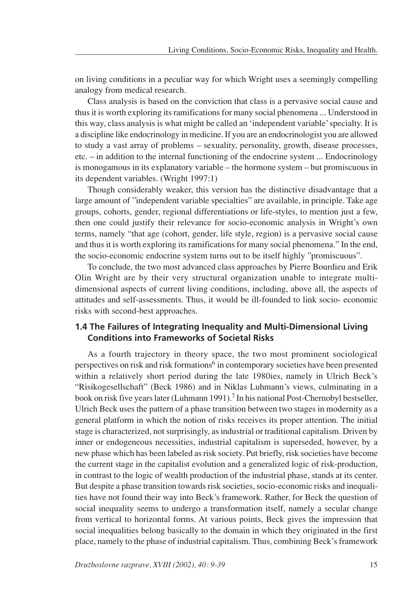on living conditions in a peculiar way for which Wright uses a seemingly compelling analogy from medical research.

Class analysis is based on the conviction that class is a pervasive social cause and thus it is worth exploring its ramifications for many social phenomena ... Understood in this way, class analysis is what might be called an 'independent variable' specialty. It is a discipline like endocrinology in medicine. If you are an endocrinologist you are allowed to study a vast array of problems – sexuality, personality, growth, disease processes, etc. – in addition to the internal functioning of the endocrine system ... Endocrinology is monogamous in its explanatory variable – the hormone system – but promiscuous in its dependent variables. (Wright 1997:1)

Though considerably weaker, this version has the distinctive disadvantage that a large amount of "independent variable specialties" are available, in principle. Take age groups, cohorts, gender, regional differentiations or life-styles, to mention just a few, then one could justify their relevance for socio-economic analysis in Wright's own terms, namely "that age (cohort, gender, life style, region) is a pervasive social cause and thus it is worth exploring its ramifications for many social phenomena." In the end, the socio-economic endocrine system turns out to be itself highly "promiscuous".

To conclude, the two most advanced class approaches by Pierre Bourdieu and Erik Olin Wright are by their very structural organization unable to integrate multidimensional aspects of current living conditions, including, above all, the aspects of attitudes and self-assessments. Thus, it would be ill-founded to link socio- economic risks with second-best approaches.

### **1.4 The Failures of Integrating Inequality and Multi-Dimensional Living Conditions into Frameworks of Societal Risks**

As a fourth trajectory in theory space, the two most prominent sociological perspectives on risk and risk formations<sup>6</sup> in contemporary societies have been presented within a relatively short period during the late 1980ies, namely in Ulrich Beck's "Risikogesellschaft" (Beck 1986) and in Niklas Luhmann's views, culminating in a book on risk five years later (Luhmann 1991).7 In his national Post-Chernobyl bestseller, Ulrich Beck uses the pattern of a phase transition between two stages in modernity as a general platform in which the notion of risks receives its proper attention. The initial stage is characterized, not surprisingly, as industrial or traditional capitalism. Driven by inner or endogeneous necessities, industrial capitalism is superseded, however, by a new phase which has been labeled as risk society. Put briefly, risk societies have become the current stage in the capitalist evolution and a generalized logic of risk-production, in contrast to the logic of wealth production of the industrial phase, stands at its center. But despite a phase transition towards risk societies, socio-economic risks and inequalities have not found their way into Beck's framework. Rather, for Beck the question of social inequality seems to undergo a transformation itself, namely a secular change from vertical to horizontal forms. At various points, Beck gives the impression that social inequalities belong basically to the domain in which they originated in the first place, namely to the phase of industrial capitalism. Thus, combining Beck's framework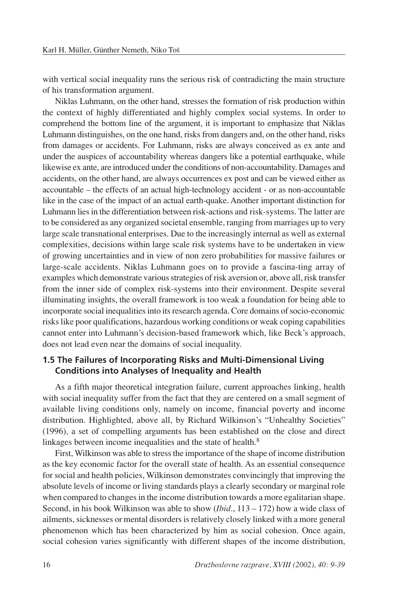with vertical social inequality runs the serious risk of contradicting the main structure of his transformation argument.

Niklas Luhmann, on the other hand, stresses the formation of risk production within the context of highly differentiated and highly complex social systems. In order to comprehend the bottom line of the argument, it is important to emphasize that Niklas Luhmann distinguishes, on the one hand, risks from dangers and, on the other hand, risks from damages or accidents. For Luhmann, risks are always conceived as ex ante and under the auspices of accountability whereas dangers like a potential earthquake, while likewise ex ante, are introduced under the conditions of non-accountability. Damages and accidents, on the other hand, are always occurrences ex post and can be viewed either as  $accountable - the effects of an actual high-technology accident - or as non-accountable$ like in the case of the impact of an actual earth-quake. Another important distinction for Luhmann lies in the differentiation between risk-actions and risk-systems. The latter are to be considered as any organized societal ensemble, ranging from marriages up to very large scale transnational enterprises. Due to the increasingly internal as well as external complexities, decisions within large scale risk systems have to be undertaken in view of growing uncertainties and in view of non zero probabilities for massive failures or large-scale accidents. Niklas Luhmann goes on to provide a fascina-ting array of examples which demonstrate various strategies of risk aversion or, above all, risk transfer from the inner side of complex risk-systems into their environment. Despite several illuminating insights, the overall framework is too weak a foundation for being able to incorporate social inequalities into its research agenda. Core domains of socio-economic risks like poor qualifications, hazardous working conditions or weak coping capabilities cannot enter into Luhmann's decision-based framework which, like Beck's approach, does not lead even near the domains of social inequality.

### **1.5 The Failures of Incorporating Risks and Multi-Dimensional Living Conditions into Analyses of Inequality and Health**

As a fifth major theoretical integration failure, current approaches linking, health with social inequality suffer from the fact that they are centered on a small segment of available living conditions only, namely on income, financial poverty and income distribution. Highlighted, above all, by Richard Wilkinson's "Unhealthy Societies" (1996), a set of compelling arguments has been established on the close and direct linkages between income inequalities and the state of health.<sup>8</sup>

First, Wilkinson was able to stress the importance of the shape of income distribution as the key economic factor for the overall state of health. As an essential consequence for social and health policies, Wilkinson demonstrates convincingly that improving the absolute levels of income or living standards plays a clearly secondary or marginal role when compared to changes in the income distribution towards a more egalitarian shape. Second, in his book Wilkinson was able to show *(Ibid.*,  $113 - 172$ ) how a wide class of ailments, sicknesses or mental disorders is relatively closely linked with a more general phenomenon which has been characterized by him as social cohesion. Once again, social cohesion varies significantly with different shapes of the income distribution,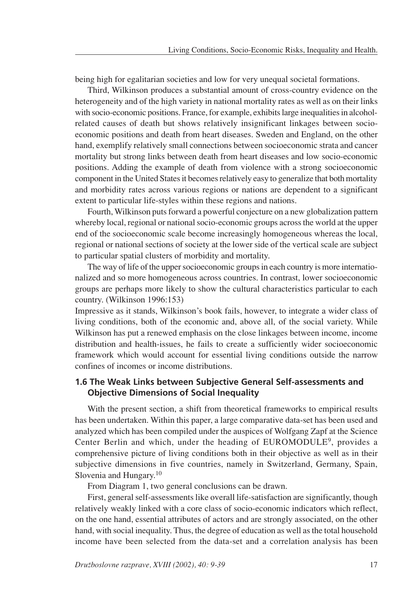being high for egalitarian societies and low for very unequal societal formations.

Third, Wilkinson produces a substantial amount of cross-country evidence on the heterogeneity and of the high variety in national mortality rates as well as on their links with socio-economic positions. France, for example, exhibits large inequalities in alcoholrelated causes of death but shows relatively insignificant linkages between socioeconomic positions and death from heart diseases. Sweden and England, on the other hand, exemplify relatively small connections between socioeconomic strata and cancer mortality but strong links between death from heart diseases and low socio-economic positions. Adding the example of death from violence with a strong socioeconomic component in the United States it becomes relatively easy to generalize that both mortality and morbidity rates across various regions or nations are dependent to a significant extent to particular life-styles within these regions and nations.

Fourth, Wilkinson puts forward a powerful conjecture on a new globalization pattern whereby local, regional or national socio-economic groups across the world at the upper end of the socioeconomic scale become increasingly homogeneous whereas the local, regional or national sections of society at the lower side of the vertical scale are subject to particular spatial clusters of morbidity and mortality.

The way of life of the upper socioeconomic groups in each country is more internationalized and so more homogeneous across countries. In contrast, lower socioeconomic groups are perhaps more likely to show the cultural characteristics particular to each country. (Wilkinson 1996:153)

Impressive as it stands, Wilkinson's book fails, however, to integrate a wider class of living conditions, both of the economic and, above all, of the social variety. While Wilkinson has put a renewed emphasis on the close linkages between income, income distribution and health-issues, he fails to create a sufficiently wider socioeconomic framework which would account for essential living conditions outside the narrow confines of incomes or income distributions.

# **1.6 The Weak Links between Subjective General Self-assessments and Objective Dimensions of Social Inequality**

With the present section, a shift from theoretical frameworks to empirical results has been undertaken. Within this paper, a large comparative data-set has been used and analyzed which has been compiled under the auspices of Wolfgang Zapf at the Science Center Berlin and which, under the heading of EUROMODULE<sup>9</sup>, provides a comprehensive picture of living conditions both in their objective as well as in their subjective dimensions in five countries, namely in Switzerland, Germany, Spain, Slovenia and Hungary.<sup>10</sup>

From Diagram 1, two general conclusions can be drawn.

First, general self-assessments like overall life-satisfaction are significantly, though relatively weakly linked with a core class of socio-economic indicators which reflect, on the one hand, essential attributes of actors and are strongly associated, on the other hand, with social inequality. Thus, the degree of education as well as the total household income have been selected from the data-set and a correlation analysis has been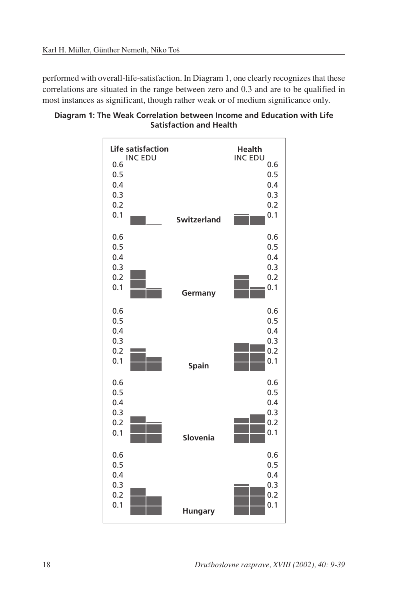performed with overall-life-satisfaction. In Diagram 1, one clearly recognizes that these correlations are situated in the range between zero and 0.3 and are to be qualified in most instances as significant, though rather weak or of medium significance only.



**Diagram 1: The Weak Correlation between Income and Education with Life Satisfaction and Health**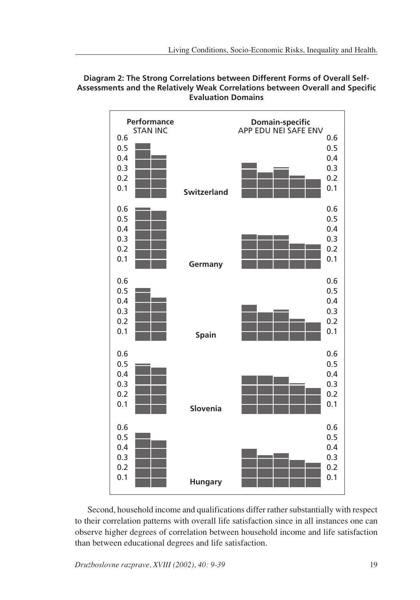

#### **Diagram 2: The Strong Correlations between Different Forms of Overall Self-Assessments and the Relatively Weak Correlations between Overall and Specific Evaluation Domains**

Second, household income and qualifications differ rather substantially with respect to their correlation patterns with overall life satisfaction since in all instances one can observe higher degrees of correlation between household income and life satisfaction than between educational degrees and life satisfaction.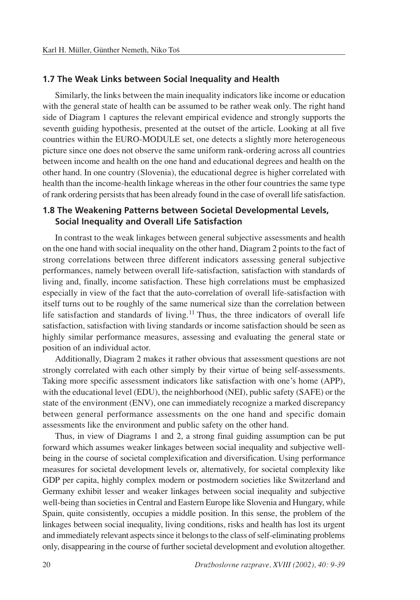#### **1.7 The Weak Links between Social Inequality and Health**

Similarly, the links between the main inequality indicators like income or education with the general state of health can be assumed to be rather weak only. The right hand side of Diagram 1 captures the relevant empirical evidence and strongly supports the seventh guiding hypothesis, presented at the outset of the article. Looking at all five countries within the EURO-MODULE set, one detects a slightly more heterogeneous picture since one does not observe the same uniform rank-ordering across all countries between income and health on the one hand and educational degrees and health on the other hand. In one country (Slovenia), the educational degree is higher correlated with health than the income-health linkage whereas in the other four countries the same type of rank ordering persists that has been already found in the case of overall life satisfaction.

### **1.8 The Weakening Patterns between Societal Developmental Levels, Social Inequality and Overall Life Satisfaction**

In contrast to the weak linkages between general subjective assessments and health on the one hand with social inequality on the other hand, Diagram 2 points to the fact of strong correlations between three different indicators assessing general subjective performances, namely between overall life-satisfaction, satisfaction with standards of living and, finally, income satisfaction. These high correlations must be emphasized especially in view of the fact that the auto-correlation of overall life-satisfaction with itself turns out to be roughly of the same numerical size than the correlation between life satisfaction and standards of living.<sup>11</sup> Thus, the three indicators of overall life satisfaction, satisfaction with living standards or income satisfaction should be seen as highly similar performance measures, assessing and evaluating the general state or position of an individual actor.

Additionally, Diagram 2 makes it rather obvious that assessment questions are not strongly correlated with each other simply by their virtue of being self-assessments. Taking more specific assessment indicators like satisfaction with one's home (APP), with the educational level (EDU), the neighborhood (NEI), public safety (SAFE) or the state of the environment (ENV), one can immediately recognize a marked discrepancy between general performance assessments on the one hand and specific domain assessments like the environment and public safety on the other hand.

Thus, in view of Diagrams 1 and 2, a strong final guiding assumption can be put forward which assumes weaker linkages between social inequality and subjective wellbeing in the course of societal complexification and diversification. Using performance measures for societal development levels or, alternatively, for societal complexity like GDP per capita, highly complex modern or postmodern societies like Switzerland and Germany exhibit lesser and weaker linkages between social inequality and subjective well-being than societies in Central and Eastern Europe like Slovenia and Hungary, while Spain, quite consistently, occupies a middle position. In this sense, the problem of the linkages between social inequality, living conditions, risks and health has lost its urgent and immediately relevant aspects since it belongs to the class of self-eliminating problems only, disappearing in the course of further societal development and evolution altogether.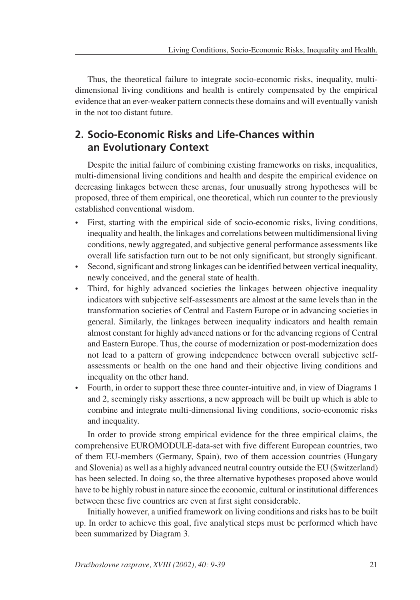Thus, the theoretical failure to integrate socio-economic risks, inequality, multidimensional living conditions and health is entirely compensated by the empirical evidence that an ever-weaker pattern connects these domains and will eventually vanish in the not too distant future.

# **2. Socio-Economic Risks and Life-Chances within an Evolutionary Context**

Despite the initial failure of combining existing frameworks on risks, inequalities, multi-dimensional living conditions and health and despite the empirical evidence on decreasing linkages between these arenas, four unusually strong hypotheses will be proposed, three of them empirical, one theoretical, which run counter to the previously established conventional wisdom.

- First, starting with the empirical side of socio-economic risks, living conditions, inequality and health, the linkages and correlations between multidimensional living conditions, newly aggregated, and subjective general performance assessments like overall life satisfaction turn out to be not only significant, but strongly significant.
- Second, significant and strong linkages can be identified between vertical inequality, newly conceived, and the general state of health.
- Third, for highly advanced societies the linkages between objective inequality indicators with subjective self-assessments are almost at the same levels than in the transformation societies of Central and Eastern Europe or in advancing societies in general. Similarly, the linkages between inequality indicators and health remain almost constant for highly advanced nations or for the advancing regions of Central and Eastern Europe. Thus, the course of modernization or post-modernization does not lead to a pattern of growing independence between overall subjective selfassessments or health on the one hand and their objective living conditions and inequality on the other hand.
- Fourth, in order to support these three counter-intuitive and, in view of Diagrams 1 and 2, seemingly risky assertions, a new approach will be built up which is able to combine and integrate multi-dimensional living conditions, socio-economic risks and inequality.

In order to provide strong empirical evidence for the three empirical claims, the comprehensive EUROMODULE-data-set with five different European countries, two of them EU-members (Germany, Spain), two of them accession countries (Hungary and Slovenia) as well as a highly advanced neutral country outside the EU (Switzerland) has been selected. In doing so, the three alternative hypotheses proposed above would have to be highly robust in nature since the economic, cultural or institutional differences between these five countries are even at first sight considerable.

Initially however, a unified framework on living conditions and risks has to be built up. In order to achieve this goal, five analytical steps must be performed which have been summarized by Diagram 3.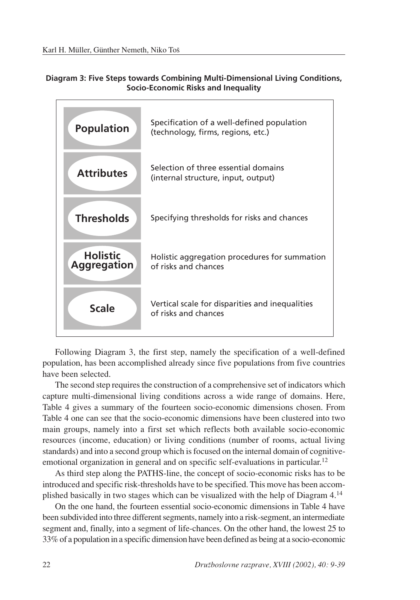#### **Diagram 3: Five Steps towards Combining Multi-Dimensional Living Conditions, Socio-Economic Risks and Inequality**



Following Diagram 3, the first step, namely the specification of a well-defined population, has been accomplished already since five populations from five countries have been selected.

The second step requires the construction of a comprehensive set of indicators which capture multi-dimensional living conditions across a wide range of domains. Here, Table 4 gives a summary of the fourteen socio-economic dimensions chosen. From Table 4 one can see that the socio-economic dimensions have been clustered into two main groups, namely into a first set which reflects both available socio-economic resources (income, education) or living conditions (number of rooms, actual living standards) and into a second group which is focused on the internal domain of cognitiveemotional organization in general and on specific self-evaluations in particular.<sup>12</sup>

As third step along the PATHS-line, the concept of socio-economic risks has to be introduced and specific risk-thresholds have to be specified. This move has been accomplished basically in two stages which can be visualized with the help of Diagram 4.14

On the one hand, the fourteen essential socio-economic dimensions in Table 4 have been subdivided into three different segments, namely into a risk-segment, an intermediate segment and, finally, into a segment of life-chances. On the other hand, the lowest 25 to 33% of a population in a specific dimension have been defined as being at a socio-economic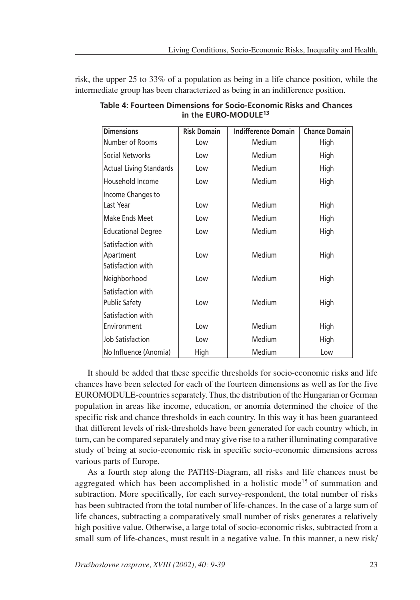risk, the upper 25 to 33% of a population as being in a life chance position, while the intermediate group has been characterized as being in an indifference position.

| <b>Dimensions</b>                                   | <b>Risk Domain</b> | <b>Indifference Domain</b> | <b>Chance Domain</b> |
|-----------------------------------------------------|--------------------|----------------------------|----------------------|
| Number of Rooms                                     | Low                | Medium                     | High                 |
| Social Networks                                     | Low                | Medium                     | High                 |
| <b>Actual Living Standards</b>                      | Low                | Medium                     | High                 |
| Household Income                                    | Low                | Medium                     | High                 |
| Income Changes to<br>Last Year                      | Low                | Medium                     | High                 |
| Make Ends Meet                                      | Low                | Medium                     | High                 |
| <b>Educational Degree</b>                           | Low                | Medium                     | High                 |
| Satisfaction with<br>Apartment<br>Satisfaction with | Low                | Medium                     | High                 |
| Neighborhood                                        | Low                | Medium                     | High                 |
| Satisfaction with<br><b>Public Safety</b>           | Low                | Medium                     | High                 |
| Satisfaction with<br>Environment                    | Low                | Medium                     | High                 |
| <b>Job Satisfaction</b>                             | Low                | Medium                     | High                 |
| No Influence (Anomia)                               | High               | Medium                     | Low                  |

**Table 4: Fourteen Dimensions for Socio-Economic Risks and Chances in the EURO-MODULE13**

It should be added that these specific thresholds for socio-economic risks and life chances have been selected for each of the fourteen dimensions as well as for the five EUROMODULE-countries separately. Thus, the distribution of the Hungarian or German population in areas like income, education, or anomia determined the choice of the specific risk and chance thresholds in each country. In this way it has been guaranteed that different levels of risk-thresholds have been generated for each country which, in turn, can be compared separately and may give rise to a rather illuminating comparative study of being at socio-economic risk in specific socio-economic dimensions across various parts of Europe.

As a fourth step along the PATHS-Diagram, all risks and life chances must be aggregated which has been accomplished in a holistic mode<sup>15</sup> of summation and subtraction. More specifically, for each survey-respondent, the total number of risks has been subtracted from the total number of life-chances. In the case of a large sum of life chances, subtracting a comparatively small number of risks generates a relatively high positive value. Otherwise, a large total of socio-economic risks, subtracted from a small sum of life-chances, must result in a negative value. In this manner, a new risk/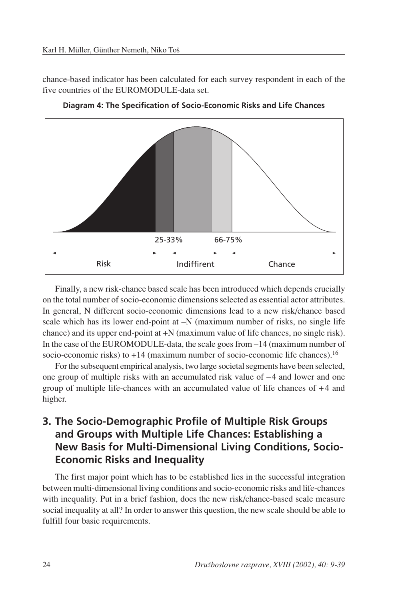chance-based indicator has been calculated for each survey respondent in each of the five countries of the EUROMODULE-data set.





Finally, a new risk-chance based scale has been introduced which depends crucially on the total number of socio-economic dimensions selected as essential actor attributes. In general, N different socio-economic dimensions lead to a new risk/chance based scale which has its lower end-point at  $-N$  (maximum number of risks, no single life chance) and its upper end-point at +N (maximum value of life chances, no single risk). In the case of the EUROMODULE-data, the scale goes from  $-14$  (maximum number of socio-economic risks) to  $+14$  (maximum number of socio-economic life chances).<sup>16</sup>

For the subsequent empirical analysis, two large societal segments have been selected, one group of multiple risks with an accumulated risk value of  $-4$  and lower and one group of multiple life-chances with an accumulated value of life chances of + 4 and higher.

# **3. The Socio-Demographic Profile of Multiple Risk Groups and Groups with Multiple Life Chances: Establishing a New Basis for Multi-Dimensional Living Conditions, Socio-Economic Risks and Inequality**

The first major point which has to be established lies in the successful integration between multi-dimensional living conditions and socio-economic risks and life-chances with inequality. Put in a brief fashion, does the new risk/chance-based scale measure social inequality at all? In order to answer this question, the new scale should be able to fulfill four basic requirements.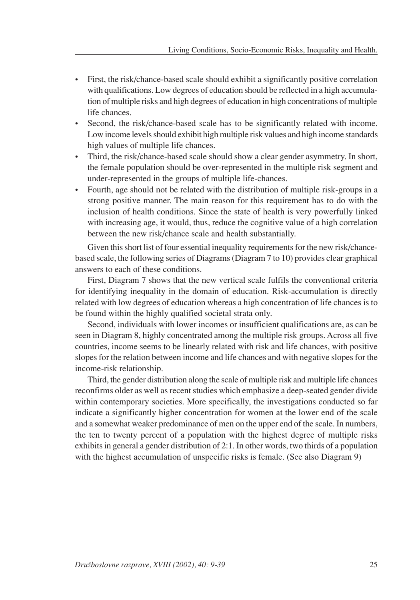- First, the risk/chance-based scale should exhibit a significantly positive correlation with qualifications. Low degrees of education should be reflected in a high accumulation of multiple risks and high degrees of education in high concentrations of multiple life chances.
- Second, the risk/chance-based scale has to be significantly related with income. Low income levels should exhibit high multiple risk values and high income standards high values of multiple life chances.
- Third, the risk/chance-based scale should show a clear gender asymmetry. In short, the female population should be over-represented in the multiple risk segment and under-represented in the groups of multiple life-chances.
- Fourth, age should not be related with the distribution of multiple risk-groups in a strong positive manner. The main reason for this requirement has to do with the inclusion of health conditions. Since the state of health is very powerfully linked with increasing age, it would, thus, reduce the cognitive value of a high correlation between the new risk/chance scale and health substantially.

Given this short list of four essential inequality requirements for the new risk/chancebased scale, the following series of Diagrams (Diagram 7 to 10) provides clear graphical answers to each of these conditions.

First, Diagram 7 shows that the new vertical scale fulfils the conventional criteria for identifying inequality in the domain of education. Risk-accumulation is directly related with low degrees of education whereas a high concentration of life chances is to be found within the highly qualified societal strata only.

Second, individuals with lower incomes or insufficient qualifications are, as can be seen in Diagram 8, highly concentrated among the multiple risk groups. Across all five countries, income seems to be linearly related with risk and life chances, with positive slopes for the relation between income and life chances and with negative slopes for the income-risk relationship.

Third, the gender distribution along the scale of multiple risk and multiple life chances reconfirms older as well as recent studies which emphasize a deep-seated gender divide within contemporary societies. More specifically, the investigations conducted so far indicate a significantly higher concentration for women at the lower end of the scale and a somewhat weaker predominance of men on the upper end of the scale. In numbers, the ten to twenty percent of a population with the highest degree of multiple risks exhibits in general a gender distribution of 2:1. In other words, two thirds of a population with the highest accumulation of unspecific risks is female. (See also Diagram 9)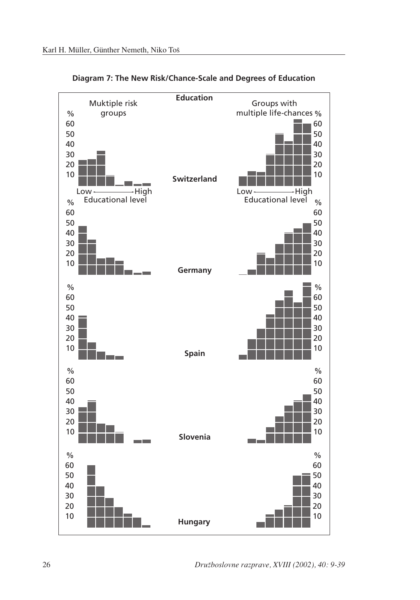

**Diagram 7: The New Risk/Chance-Scale and Degrees of Education**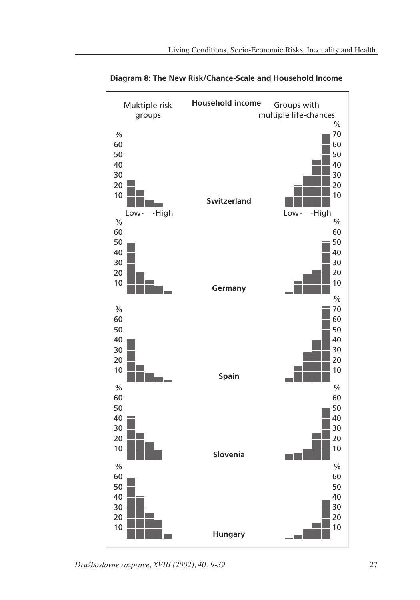

**Diagram 8: The New Risk/Chance-Scale and Household Income**

*Druæboslovne razprave, XVIII (2002), 40: 9-39* 27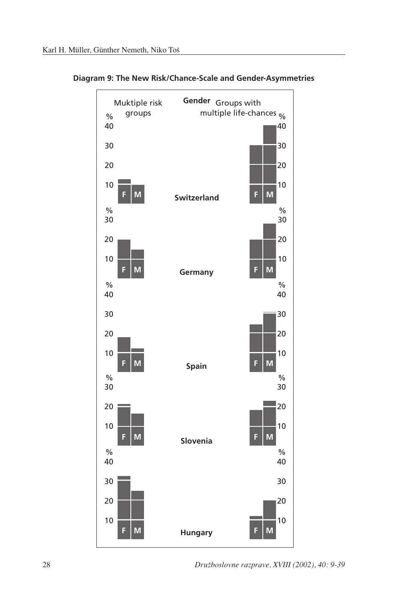

**Diagram 9: The New Risk/Chance-Scale and Gender-Asymmetries**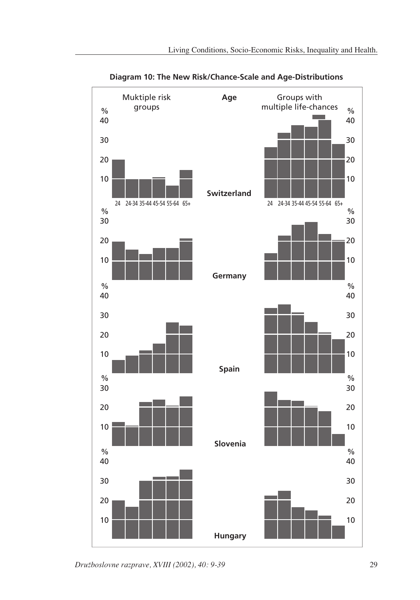

**Diagram 10: The New Risk/Chance-Scale and Age-Distributions**

*Druæboslovne razprave, XVIII (2002), 40: 9-39* 29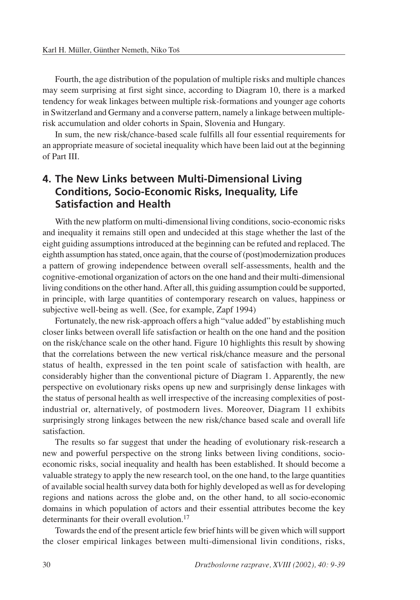Fourth, the age distribution of the population of multiple risks and multiple chances may seem surprising at first sight since, according to Diagram 10, there is a marked tendency for weak linkages between multiple risk-formations and younger age cohorts in Switzerland and Germany and a converse pattern, namely a linkage between multiplerisk accumulation and older cohorts in Spain, Slovenia and Hungary.

In sum, the new risk/chance-based scale fulfills all four essential requirements for an appropriate measure of societal inequality which have been laid out at the beginning of Part III.

# **4. The New Links between Multi-Dimensional Living Conditions, Socio-Economic Risks, Inequality, Life Satisfaction and Health**

With the new platform on multi-dimensional living conditions, socio-economic risks and inequality it remains still open and undecided at this stage whether the last of the eight guiding assumptions introduced at the beginning can be refuted and replaced. The eighth assumption has stated, once again, that the course of (post)modernization produces a pattern of growing independence between overall self-assessments, health and the cognitive-emotional organization of actors on the one hand and their multi-dimensional living conditions on the other hand. After all, this guiding assumption could be supported, in principle, with large quantities of contemporary research on values, happiness or subjective well-being as well. (See, for example, Zapf 1994)

Fortunately, the new risk-approach offers a high "value added" by establishing much closer links between overall life satisfaction or health on the one hand and the position on the risk/chance scale on the other hand. Figure 10 highlights this result by showing that the correlations between the new vertical risk/chance measure and the personal status of health, expressed in the ten point scale of satisfaction with health, are considerably higher than the conventional picture of Diagram 1. Apparently, the new perspective on evolutionary risks opens up new and surprisingly dense linkages with the status of personal health as well irrespective of the increasing complexities of postindustrial or, alternatively, of postmodern lives. Moreover, Diagram 11 exhibits surprisingly strong linkages between the new risk/chance based scale and overall life satisfaction.

The results so far suggest that under the heading of evolutionary risk-research a new and powerful perspective on the strong links between living conditions, socioeconomic risks, social inequality and health has been established. It should become a valuable strategy to apply the new research tool, on the one hand, to the large quantities of available social health survey data both for highly developed as well as for developing regions and nations across the globe and, on the other hand, to all socio-economic domains in which population of actors and their essential attributes become the key determinants for their overall evolution.<sup>17</sup>

Towards the end of the present article few brief hints will be given which will support the closer empirical linkages between multi-dimensional livin conditions, risks,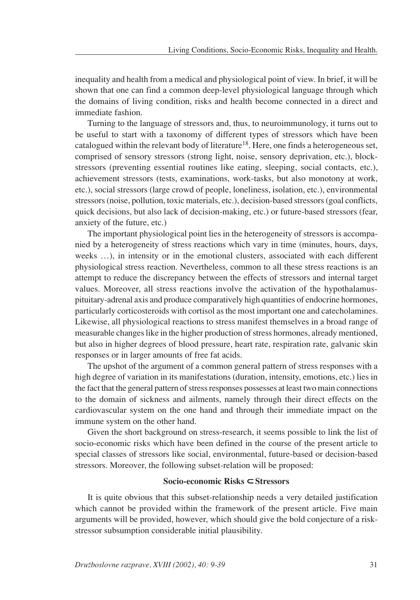inequality and health from a medical and physiological point of view. In brief, it will be shown that one can find a common deep-level physiological language through which the domains of living condition, risks and health become connected in a direct and immediate fashion.

Turning to the language of stressors and, thus, to neuroimmunology, it turns out to be useful to start with a taxonomy of different types of stressors which have been catalogued within the relevant body of literature<sup>18</sup>. Here, one finds a heterogeneous set, comprised of sensory stressors (strong light, noise, sensory deprivation, etc.), blockstressors (preventing essential routines like eating, sleeping, social contacts, etc.), achievement stressors (tests, examinations, work-tasks, but also monotony at work, etc.), social stressors (large crowd of people, loneliness, isolation, etc.), environmental stressors (noise, pollution, toxic materials, etc.), decision-based stressors (goal conflicts, quick decisions, but also lack of decision-making, etc.) or future-based stressors (fear, anxiety of the future, etc.)

The important physiological point lies in the heterogeneity of stressors is accompanied by a heterogeneity of stress reactions which vary in time (minutes, hours, days, weeks …), in intensity or in the emotional clusters, associated with each different physiological stress reaction. Nevertheless, common to all these stress reactions is an attempt to reduce the discrepancy between the effects of stressors and internal target values. Moreover, all stress reactions involve the activation of the hypothalamuspituitary-adrenal axis and produce comparatively high quantities of endocrine hormones, particularly corticosteroids with cortisol as the most important one and catecholamines. Likewise, all physiological reactions to stress manifest themselves in a broad range of measurable changes like in the higher production of stress hormones, already mentioned, but also in higher degrees of blood pressure, heart rate, respiration rate, galvanic skin responses or in larger amounts of free fat acids.

The upshot of the argument of a common general pattern of stress responses with a high degree of variation in its manifestations (duration, intensity, emotions, etc.) lies in the fact that the general pattern of stress responses possesses at least two main connections to the domain of sickness and ailments, namely through their direct effects on the cardiovascular system on the one hand and through their immediate impact on the immune system on the other hand.

Given the short background on stress-research, it seems possible to link the list of socio-economic risks which have been defined in the course of the present article to special classes of stressors like social, environmental, future-based or decision-based stressors. Moreover, the following subset-relation will be proposed:

#### **Socio-economic Risks** ⊂ **Stressors**

It is quite obvious that this subset-relationship needs a very detailed justification which cannot be provided within the framework of the present article. Five main arguments will be provided, however, which should give the bold conjecture of a riskstressor subsumption considerable initial plausibility.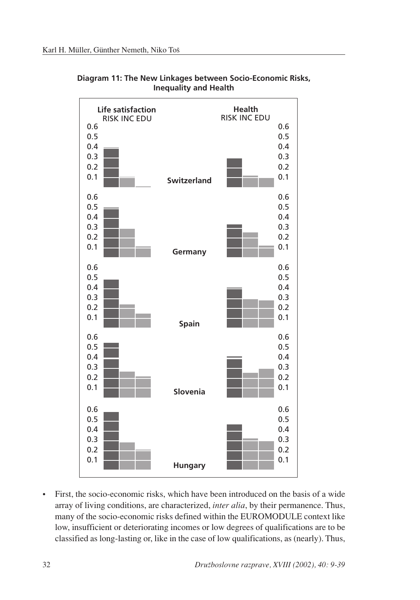

**Diagram 11: The New Linkages between Socio-Economic Risks, Inequality and Health**

• First, the socio-economic risks, which have been introduced on the basis of a wide array of living conditions, are characterized, *inter alia*, by their permanence. Thus, many of the socio-economic risks defined within the EUROMODULE context like low, insufficient or deteriorating incomes or low degrees of qualifications are to be classified as long-lasting or, like in the case of low qualifications, as (nearly). Thus,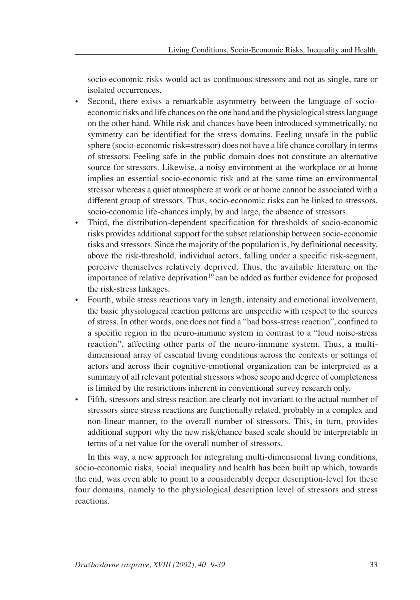socio-economic risks would act as continuous stressors and not as single, rare or isolated occurrences.

- Second, there exists a remarkable asymmetry between the language of socioeconomic risks and life chances on the one hand and the physiological stress language on the other hand. While risk and chances have been introduced symmetrically, no symmetry can be identified for the stress domains. Feeling unsafe in the public sphere (socio-economic risk=stressor) does not have a life chance corollary in terms of stressors. Feeling safe in the public domain does not constitute an alternative source for stressors. Likewise, a noisy environment at the workplace or at home implies an essential socio-economic risk and at the same time an environmental stressor whereas a quiet atmosphere at work or at home cannot be associated with a different group of stressors. Thus, socio-economic risks can be linked to stressors, socio-economic life-chances imply, by and large, the absence of stressors.
- Third, the distribution-dependent specification for thresholds of socio-economic risks provides additional support for the subset relationship between socio-economic risks and stressors. Since the majority of the population is, by definitional necessity, above the risk-threshold, individual actors, falling under a specific risk-segment, perceive themselves relatively deprived. Thus, the available literature on the importance of relative deprivation<sup>19</sup> can be added as further evidence for proposed the risk-stress linkages.
- Fourth, while stress reactions vary in length, intensity and emotional involvement, the basic physiological reaction patterns are unspecific with respect to the sources of stress. In other words, one does not find a "bad boss-stress reaction", confined to a specific region in the neuro-immune system in contrast to a "loud noise-stress reaction", affecting other parts of the neuro-immune system. Thus, a multidimensional array of essential living conditions across the contexts or settings of actors and across their cognitive-emotional organization can be interpreted as a summary of all relevant potential stressors whose scope and degree of completeness is limited by the restrictions inherent in conventional survey research only.
- Fifth, stressors and stress reaction are clearly not invariant to the actual number of stressors since stress reactions are functionally related, probably in a complex and non-linear manner, to the overall number of stressors. This, in turn, provides additional support why the new risk/chance based scale should be interpretable in terms of a net value for the overall number of stressors.

In this way, a new approach for integrating multi-dimensional living conditions, socio-economic risks, social inequality and health has been built up which, towards the end, was even able to point to a considerably deeper description-level for these four domains, namely to the physiological description level of stressors and stress reactions.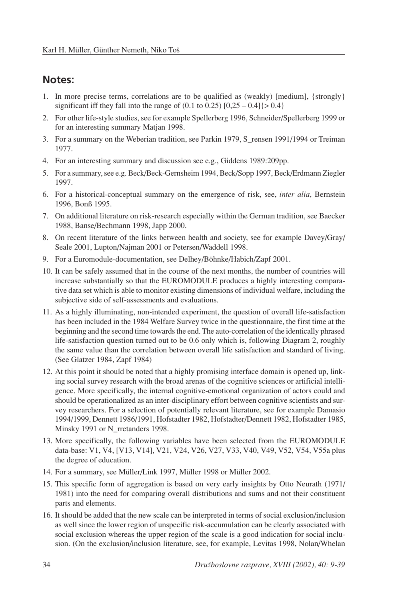# **Notes:**

- 1. In more precise terms, correlations are to be qualified as (weakly) [medium],  $\{strongly\}$ significant iff they fall into the range of  $(0.1 \text{ to } 0.25) [0,25 - 0.4]$ {> 0.4}
- 2. For other life-style studies, see for example Spellerberg 1996, Schneider/Spellerberg 1999 or for an interesting summary Matjan 1998.
- 3. For a summary on the Weberian tradition, see Parkin 1979, S\_rensen 1991/1994 or Treiman 1977.
- 4. For an interesting summary and discussion see e.g., Giddens 1989:209pp.
- 5. For a summary, see e.g. Beck/Beck-Gernsheim 1994, Beck/Sopp 1997, Beck/Erdmann Ziegler 1997.
- 6. For a historical-conceptual summary on the emergence of risk, see, *inter alia*, Bernstein 1996, Bonß 1995.
- 7. On additional literature on risk-research especially within the German tradition, see Baecker 1988, Banse/Bechmann 1998, Japp 2000.
- 8. On recent literature of the links between health and society, see for example Davey/Gray/ Seale 2001, Lupton/Najman 2001 or Petersen/Waddell 1998.
- 9. For a Euromodule-documentation, see Delhey/Böhnke/Habich/Zapf 2001.
- 10. It can be safely assumed that in the course of the next months, the number of countries will increase substantially so that the EUROMODULE produces a highly interesting comparative data set which is able to monitor existing dimensions of individual welfare, including the subjective side of self-assessments and evaluations.
- 11. As a highly illuminating, non-intended experiment, the question of overall life-satisfaction has been included in the 1984 Welfare Survey twice in the questionnaire, the first time at the beginning and the second time towards the end. The auto-correlation of the identically phrased life-satisfaction question turned out to be 0.6 only which is, following Diagram 2, roughly the same value than the correlation between overall life satisfaction and standard of living. (See Glatzer 1984, Zapf 1984)
- 12. At this point it should be noted that a highly promising interface domain is opened up, linking social survey research with the broad arenas of the cognitive sciences or artificial intelligence. More specifically, the internal cognitive-emotional organization of actors could and should be operationalized as an inter-disciplinary effort between cognitive scientists and survey researchers. For a selection of potentially relevant literature, see for example Damasio 1994/1999, Dennett 1986/1991, Hofstadter 1982, Hofstadter/Dennett 1982, Hofstadter 1985, Minsky 1991 or N\_rretanders 1998.
- 13. More specifically, the following variables have been selected from the EUROMODULE data-base: V1, V4, [V13, V14], V21, V24, V26, V27, V33, V40, V49, V52, V54, V55a plus the degree of education.
- 14. For a summary, see Müller/Link 1997, Müller 1998 or Müller 2002.
- 15. This specific form of aggregation is based on very early insights by Otto Neurath (1971/ 1981) into the need for comparing overall distributions and sums and not their constituent parts and elements.
- 16. It should be added that the new scale can be interpreted in terms of social exclusion/inclusion as well since the lower region of unspecific risk-accumulation can be clearly associated with social exclusion whereas the upper region of the scale is a good indication for social inclusion. (On the exclusion/inclusion literature, see, for example, Levitas 1998, Nolan/Whelan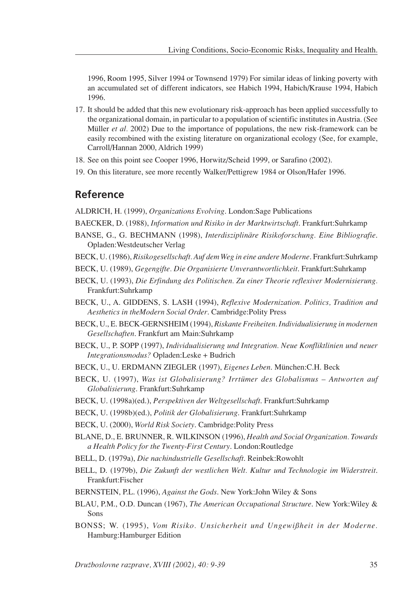1996, Room 1995, Silver 1994 or Townsend 1979) For similar ideas of linking poverty with an accumulated set of different indicators, see Habich 1994, Habich/Krause 1994, Habich 1996.

- 17. It should be added that this new evolutionary risk-approach has been applied successfully to the organizational domain, in particular to a population of scientific institutes in Austria. (See Müller *et al.* 2002) Due to the importance of populations, the new risk-framework can be easily recombined with the existing literature on organizational ecology (See, for example, Carroll/Hannan 2000, Aldrich 1999)
- 18. See on this point see Cooper 1996, Horwitz/Scheid 1999, or Sarafino (2002).
- 19. On this literature, see more recently Walker/Pettigrew 1984 or Olson/Hafer 1996.

# **Reference**

ALDRICH, H. (1999), *Organizations Evolving*. London:Sage Publications

- BAECKER, D. (1988), *Information und Risiko in der Marktwirtschaft*. Frankfurt:Suhrkamp
- BANSE, G., G. BECHMANN (1998), *Interdisziplinäre Risikoforschung. Eine Bibliografie*. Opladen:Westdeutscher Verlag
- BECK, U. (1986), *Risikogesellschaft. Auf dem Weg in eine andere Moderne*. Frankfurt:Suhrkamp
- BECK, U. (1989), *Gegengifte. Die Organisierte Unverantwortlichkeit*. Frankfurt:Suhrkamp
- BECK, U. (1993), *Die Erfindung des Politischen. Zu einer Theorie reflexiver Modernisierung.* Frankfurt:Suhrkamp
- BECK, U., A. GIDDENS, S. LASH (1994), *Reflexive Modernization. Politics, Tradition and Aesthetics in theModern Social Order*. Cambridge:Polity Press
- BECK, U., E. BECK-GERNSHEIM (1994), *Riskante Freiheiten. Individualisierung in modernen Gesellschaften*. Frankfurt am Main:Suhrkamp
- BECK, U., P. SOPP (1997), *Individualisierung und Integration. Neue Konfliktlinien und neuer Integrationsmodus?* Opladen:Leske + Budrich
- BECK, U., U. ERDMANN ZIEGLER (1997), *Eigenes Leben*. München:C.H. Beck
- BECK, U. (1997), *Was ist Globalisierung? Irrtümer des Globalismus Antworten auf Globalisierung*. Frankfurt:Suhrkamp
- BECK, U. (1998a)(ed.), *Perspektiven der Weltgesellschaft*. Frankfurt:Suhrkamp
- BECK, U. (1998b)(ed.), *Politik der Globalisierung*. Frankfurt:Suhrkamp
- BECK, U. (2000), *World Risk Society*. Cambridge:Polity Press
- BLANE, D., E. BRUNNER, R. WILKINSON (1996), *Health and Social Organization. Towards a Health Policy for the Twenty-First Century*. London:Routledge
- BELL, D. (1979a), *Die nachindustrielle Gesellschaft*. Reinbek:Rowohlt
- BELL, D. (1979b), *Die Zukunft der westlichen Welt. Kultur und Technologie im Widerstreit*. Frankfurt:Fischer
- BERNSTEIN, P.L. (1996), *Against the Gods*. New York:John Wiley & Sons
- BLAU, P.M., O.D. Duncan (1967), *The American Occupational Structure*. New York:Wiley & Sons
- BONSS; W. (1995), *Vom Risiko. Unsicherheit und Ungewißheit in der Moderne.* Hamburg:Hamburger Edition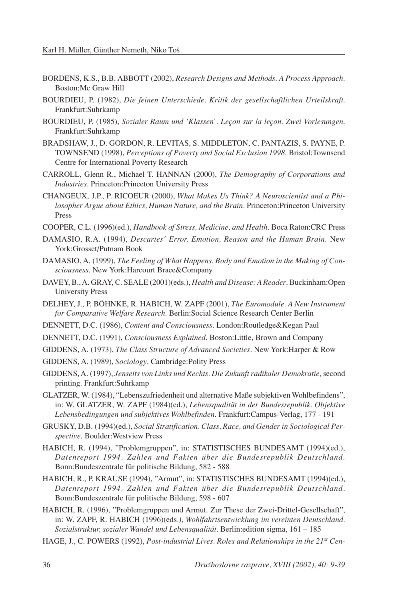- BORDENS, K.S., B.B. ABBOTT (2002), *Research Designs and Methods. A Process Approach.* Boston:Mc Graw Hill
- BOURDIEU, P. (1982), *Die feinen Unterschiede. Kritik der gesellschaftlichen Urteilskraft*. Frankfurt:Suhrkamp
- BOURDIEU, P. (1985), *Sozialer Raum und 'Klassen'. Leçon sur la leçon. Zwei Vorlesungen*. Frankfurt:Suhrkamp
- BRADSHAW, J., D. GORDON, R. LEVITAS, S. MIDDLETON, C. PANTAZIS, S. PAYNE, P. TOWNSEND (1998), *Perceptions of Poverty and Social Exclusion 1998*. Bristol:Townsend Centre for International Poverty Research
- CARROLL, Glenn R., Michael T. HANNAN (2000), *The Demography of Corporations and Industries.* Princeton:Princeton University Press
- CHANGEUX, J.P., P. RICOEUR (2000), *What Makes Us Think? A Neuroscientist and a Philosopher Argue about Ethics, Human Nature, and the Brain.* Princeton:Princeton University Press
- COOPER, C.L. (1996)(ed.), *Handbook of Stress, Medicine, and Health*. Boca Raton:CRC Press
- DAMASIO, R.A. (1994), *Descartes´ Error. Emotion, Reason and the Human Brain*. New York:Grosset/Putnam Book
- DAMASIO, A. (1999), *The Feeling of What Happens. Body and Emotion in the Making of Consciousness*. New York:Harcourt Brace&Company
- DAVEY, B., A. GRAY, C. SEALE (2001)(eds.), *Health and Disease: A Reader*. Buckinham:Open University Press
- DELHEY, J., P. BÖHNKE, R. HABICH, W. ZAPF (2001), *The Euromodule. A New Instrument for Comparative Welfare Research*. Berlin:Social Science Research Center Berlin
- DENNETT, D.C. (1986), *Content and Consciousness*. London:Routledge&Kegan Paul
- DENNETT, D.C. (1991), *Consciousness Explained*. Boston:Little, Brown and Company

GIDDENS, A. (1973), *The Class Structure of Advanced Societies*. New York:Harper & Row

- GIDDENS, A. (1989), *Sociology*. Cambridge:Polity Press
- GIDDENS, A. (1997), *Jenseits von Links und Rechts. Die Zukunft radikaler Demokratie,* second printing*.* Frankfurt:Suhrkamp
- GLATZER, W. (1984), "Lebenszufriedenheit und alternative Maße subjektiven Wohlbefindens", in: W. GLATZER, W. ZAPF (1984)(ed.), *Lebensqualität in der Bundesrepublik. Objektive Lebensbedingungen und subjektives Wohlbefinden*. Frankfurt:Campus-Verlag, 177 - 191
- GRUSKY, D.B. (1994)(ed.), *Social Stratification. Class, Race, and Gender in Sociological Perspective*. Boulder:Westview Press
- HABICH, R. (1994), "Problemgruppen", in: STATISTISCHES BUNDESAMT (1994)(ed.), *Datenreport 1994. Zahlen und Fakten über die Bundesrepublik Deutschland.* Bonn:Bundeszentrale für politische Bildung, 582 - 588
- HABICH, R., P. KRAUSE (1994), "Armut", in: STATISTISCHES BUNDESAMT (1994)(ed.), *Datenreport 1994. Zahlen und Fakten über die Bundesrepublik Deutschland*. Bonn:Bundeszentrale für politische Bildung, 598 - 607
- HABICH, R. (1996), "Problemgruppen und Armut. Zur These der Zwei-Drittel-Gesellschaft", in: W. ZAPF, R. HABICH (1996)(eds*.), Wohlfahrtsentwicklung im vereinten Deutschland. Sozialstruktur, sozialer Wandel und Lebensqualität*. Berlin: edition sigma, 161 – 185
- HAGE, J., C. POWERS (1992), *Post-industrial Lives. Roles and Relationships in the 21st Cen-*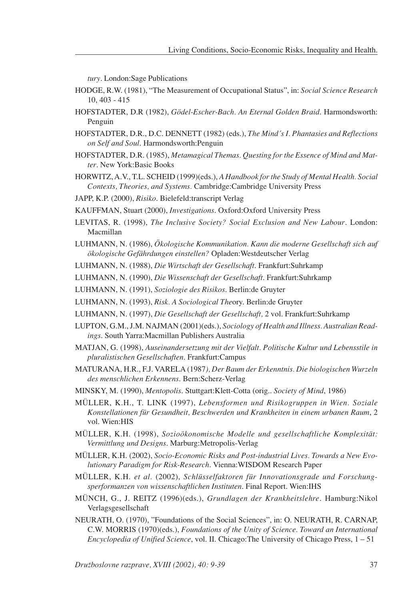*tury*. London:Sage Publications

- HODGE, R.W. (1981), "The Measurement of Occupational Status", in: *Social Science Research* 10, 403 - 415
- HOFSTADTER, D.R (1982), *Gödel-Escher-Bach. An Eternal Golden Braid*. Harmondsworth: Penguin
- HOFSTADTER, D.R., D.C. DENNETT (1982) (eds.), *The Mind´s I. Phantasies and Reflections on Self and Soul*. Harmondsworth:Penguin
- HOFSTADTER, D.R. (1985), *Metamagical Themas. Questing for the Essence of Mind and Matter*. New York:Basic Books
- HORWITZ, A.V., T.L. SCHEID (1999)(eds.), *A Handbook for the Study of Mental Health. Social Contexts, Theories, and Systems.* Cambridge:Cambridge University Press
- JAPP, K.P. (2000), *Risiko*. Bielefeld:transcript Verlag
- KAUFFMAN, Stuart (2000), *Investigations*. Oxford:Oxford University Press
- LEVITAS, R. (1998), *The Inclusive Society? Social Exclusion and New Labour*. London: Macmillan
- LUHMANN, N. (1986), *Ökologische Kommunikation. Kann die moderne Gesellschaft sich auf ökologische Gefährdungen einstellen?* Opladen:Westdeutscher Verlag
- LUHMANN, N. (1988), *Die Wirtschaft der Gesellschaft*. Frankfurt:Suhrkamp
- LUHMANN, N. (1990), *Die Wissenschaft der Gesellschaft*. Frankfurt:Suhrkamp
- LUHMANN, N. (1991), *Soziologie des Risikos*. Berlin:de Gruyter
- LUHMANN, N. (1993), *Risk. A Sociological The*ory. Berlin:de Gruyter
- LUHMANN, N. (1997), *Die Gesellschaft der Gesellschaft,* 2 vol. Frankfurt:Suhrkamp
- LUPTON, G.M., J.M. NAJMAN (2001)(eds.), *Sociology of Health and Illness. Australian Readings*. South Yarra:Macmillan Publishers Australia
- MATJAN, G. (1998), *Auseinandersetzung mit der Vielfalt. Politische Kultur und Lebensstile in pluralistischen Gesellschaften*. Frankfurt:Campus
- MATURANA, H.R., F.J. VARELA (1987*), Der Baum der Erkenntnis. Die biologischen Wurzeln des menschlichen Erkennens*. Bern:Scherz-Verlag
- MINSKY, M. (1990), *Mentopolis*. Stuttgart:Klett-Cotta (orig.. *Society of Mind*, 1986)
- MÜLLER, K.H., T. LINK (1997), *Lebensformen und Risikogruppen in Wien. Soziale Konstellationen für Gesundheit, Beschwerden und Krankheiten in einem urbanen Raum*, 2 vol. Wien:HIS
- MÜLLER, K.H. (1998), *Sozioökonomische Modelle und gesellschaftliche Komplexität: Vermittlung und Designs*. Marburg:Metropolis-Verlag
- MÜLLER, K.H. (2002), *Socio-Economic Risks and Post-industrial Lives. Towards a New Evolutionary Paradigm for Risk-Research*. Vienna:WISDOM Research Paper
- MÜLLER, K.H. *et al.* (2002), *Schlüsselfaktoren für Innovationsgrade und Forschungsperformanzen von wissenschaftlichen Instituten*. Final Report. Wien:IHS
- MÜNCH, G., J. REITZ (1996)(eds.), *Grundlagen der Krankheitslehre*. Hamburg:Nikol Verlagsgesellschaft
- NEURATH, O. (1970), "Foundations of the Social Sciences", in: O. NEURATH, R. CARNAP, C.W. MORRIS (1970)(eds.), *Foundations of the Unity of Science. Toward an International Encyclopedia of Unified Science*, vol. II. Chicago:The University of Chicago Press,  $1 - 51$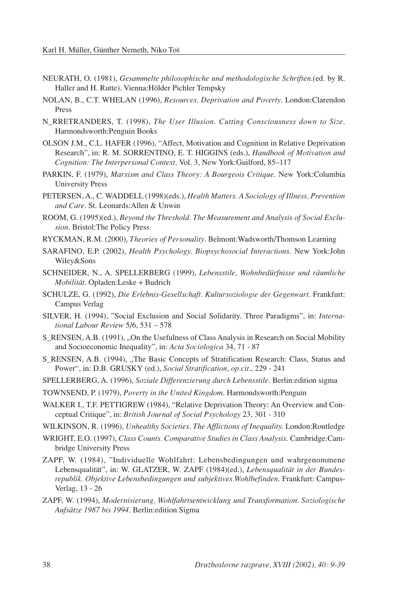- NEURATH, O. (1981), *Gesammelte philosophische und methodologische Schriften*.(ed. by R. Haller and H. Rutte). Vienna:Hölder Pichler Tempsky
- NOLAN, B., C.T. WHELAN (1996), *Resources, Deprivation and Poverty*. London:Clarendon Press
- N\_RRETRANDERS, T. (1998), *The User Illusion*. *Cutting Consciousness down to Size*. Harmondsworth:Penguin Books
- OLSON J.M., C.L. HAFER (1996), "Affect, Motivation and Cognition in Relative Deprivation Research", in: R. M. SORRENTINO, E. T. HIGGINS (eds.), *Handbook of Motivation and Cognition: The Interpersonal Context, Vol. 3, New York:Guilford, 85–117*
- PARKIN, F. (1979), *Marxism and Class Theory: A Bourgeois Critique*. New York:Columbia University Press
- PETERSEN, A., C. WADDELL (1998)(eds.), *Health Matters. A Sociology of Illness, Prevention and Care*. St. Leonards:Allen & Unwin
- ROOM, G. (1995)(ed.), *Beyond the Threshold. The Measurement and Analysis of Social Exclusion*. Bristol:The Policy Press
- RYCKMAN, R.M. (2000), *Theories of Personality*. Belmont:Wadsworth/Thomson Learning
- SARAFINO, E.P. (2002), *Health Psychology. Biopsychosocial Interactions*. New York:John Wiley&Sons
- SCHNEIDER, N., A. SPELLERBERG (1999), *Lebensstile, Wohnbedürfnisse und räumliche Mobilität*. Opladen:Leske + Budrich
- SCHULZE, G. (1992), *Die Erlebnis-Gesellschaft. Kultursoziologie der Gegenwart*. Frankfurt: Campus Verlag
- SILVER, H. (1994), "Social Exclusion and Social Solidarity. Three Paradigms", in: *International Labour Review* 5/6, 531 - 578
- S<sub>.</sub> RENSEN, A.B. (1991), "On the Usefulness of Class Analysis in Research on Social Mobility and Socioeconomic Inequality", in: *Acta Sociologica* 34, 71 - 87
- S\_RENSEN, A.B. (1994), "The Basic Concepts of Stratification Research: Class, Status and Power", in: D.B. GRUSKY (ed.), *Social Stratification*, *op.cit*., 229 - 241
- SPELLERBERG, A. (1996), *Soziale Differenzierung durch Lebensstile*. Berlin:edition sigma
- TOWNSEND, P. (1979), *Poverty in the United Kingdom*. Harmondsworth:Penguin
- WALKER I., T.F. PETTIGREW (1984), "Relative Deprivation Theory: An Overview and Conceptual Critique", in: *British Journal of Social Psychology* 23, 301 - 310
- WILKINSON, R. (1996), *Unhealthy Societies. The Afflictions of Inequality.* London:Routledge
- WRIGHT, E.O. (1997), *Class Counts. Comparative Studies in Class Analysis*. Cambridge:Cambridge University Press
- ZAPF, W. (1984), "Individuelle Wohlfahrt: Lebensbedingungen und wahrgenommene Lebensqualität", in: W. GLATZER, W. ZAPF (1984)(ed.), *Lebensqualität in der Bundesrepublik. Objektive Lebensbedingungen und subjektives Wohlbefinden*. Frankfurt: Campus-Verlag, 13 - 26
- ZAPF, W. (1994), *Modernisierung, Wohlfahrtsentwicklung und Transformation. Soziologische Aufsätze 1987 bis 1994*. Berlin:edition Sigma